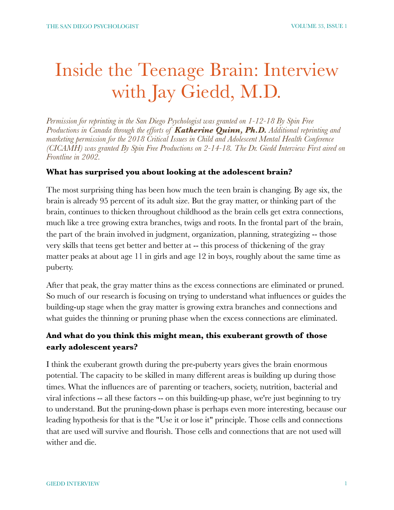# Inside the Teenage Brain: Interview with Jay Giedd, M.D.

*Permission for reprinting in the San Diego Psychologist was granted on 1-12-18 By Spin Free Productions in Canada through the efforts of Katherine Quinn, Ph.D. Additional reprinting and marketing permission for the 2018 Critical Issues in Child and Adolescent Mental Health Conference (CICAMH) was granted By Spin Free Productions on 2-14-18. The Dr. Giedd Interview First aired on Frontline in 2002.*

#### **What has surprised you about looking at the adolescent brain?**

The most surprising thing has been how much the teen brain is changing. By age six, the brain is already 95 percent of its adult size. But the gray matter, or thinking part of the brain, continues to thicken throughout childhood as the brain cells get extra connections, much like a tree growing extra branches, twigs and roots. In the frontal part of the brain, the part of the brain involved in judgment, organization, planning, strategizing -- those very skills that teens get better and better at -- this process of thickening of the gray matter peaks at about age 11 in girls and age 12 in boys, roughly about the same time as puberty.

After that peak, the gray matter thins as the excess connections are eliminated or pruned. So much of our research is focusing on trying to understand what influences or guides the building-up stage when the gray matter is growing extra branches and connections and what guides the thinning or pruning phase when the excess connections are eliminated.

### **And what do you think this might mean, this exuberant growth of those early adolescent years?**

I think the exuberant growth during the pre-puberty years gives the brain enormous potential. The capacity to be skilled in many different areas is building up during those times. What the influences are of parenting or teachers, society, nutrition, bacterial and viral infections -- all these factors -- on this building-up phase, we're just beginning to try to understand. But the pruning-down phase is perhaps even more interesting, because our leading hypothesis for that is the "Use it or lose it" principle. Those cells and connections that are used will survive and flourish. Those cells and connections that are not used will wither and die.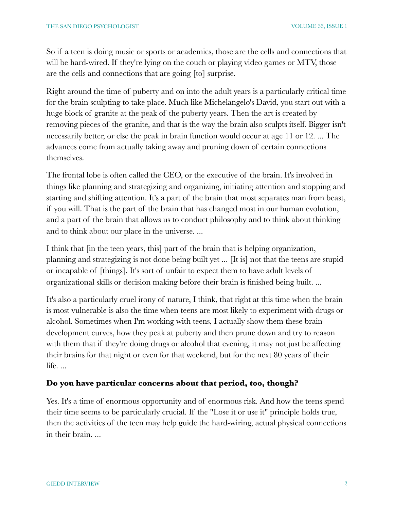So if a teen is doing music or sports or academics, those are the cells and connections that will be hard-wired. If they're lying on the couch or playing video games or MTV, those are the cells and connections that are going [to] surprise.

Right around the time of puberty and on into the adult years is a particularly critical time for the brain sculpting to take place. Much like Michelangelo's David, you start out with a huge block of granite at the peak of the puberty years. Then the art is created by removing pieces of the granite, and that is the way the brain also sculpts itself. Bigger isn't necessarily better, or else the peak in brain function would occur at age 11 or 12. ... The advances come from actually taking away and pruning down of certain connections themselves.

The frontal lobe is often called the CEO, or the executive of the brain. It's involved in things like planning and strategizing and organizing, initiating attention and stopping and starting and shifting attention. It's a part of the brain that most separates man from beast, if you will. That is the part of the brain that has changed most in our human evolution, and a part of the brain that allows us to conduct philosophy and to think about thinking and to think about our place in the universe. ...

I think that [in the teen years, this] part of the brain that is helping organization, planning and strategizing is not done being built yet ... [It is] not that the teens are stupid or incapable of [things]. It's sort of unfair to expect them to have adult levels of organizational skills or decision making before their brain is finished being built. ...

It's also a particularly cruel irony of nature, I think, that right at this time when the brain is most vulnerable is also the time when teens are most likely to experiment with drugs or alcohol. Sometimes when I'm working with teens, I actually show them these brain development curves, how they peak at puberty and then prune down and try to reason with them that if they're doing drugs or alcohol that evening, it may not just be affecting their brains for that night or even for that weekend, but for the next 80 years of their life. ...

#### **Do you have particular concerns about that period, too, though?**

Yes. It's a time of enormous opportunity and of enormous risk. And how the teens spend their time seems to be particularly crucial. If the "Lose it or use it" principle holds true, then the activities of the teen may help guide the hard-wiring, actual physical connections in their brain. ...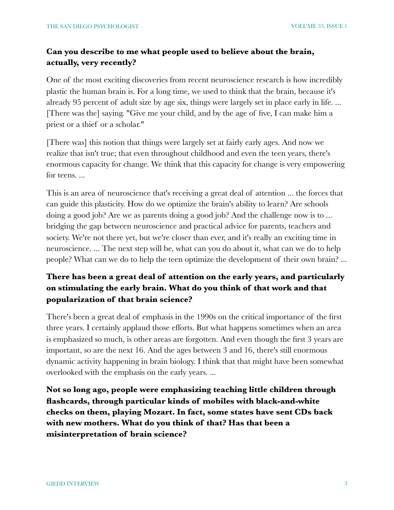### **Can you describe to me what people used to believe about the brain, actually, very recently?**

One of the most exciting discoveries from recent neuroscience research is how incredibly plastic the human brain is. For a long time, we used to think that the brain, because it's already 95 percent of adult size by age six, things were largely set in place early in life. ... [There was the] saying. "Give me your child, and by the age of five, I can make him a priest or a thief or a scholar."

[There was] this notion that things were largely set at fairly early ages. And now we realize that isn't true; that even throughout childhood and even the teen years, there's enormous capacity for change. We think that this capacity for change is very empowering for teens. ...

This is an area of neuroscience that's receiving a great deal of attention ... the forces that can guide this plasticity. How do we optimize the brain's ability to learn? Are schools doing a good job? Are we as parents doing a good job? And the challenge now is to ... bridging the gap between neuroscience and practical advice for parents, teachers and society. We're not there yet, but we're closer than ever, and it's really an exciting time in neuroscience. ... The next step will be, what can you do about it, what can we do to help people? What can we do to help the teen optimize the development of their own brain? ...

# **There has been a great deal of attention on the early years, and particularly on stimulating the early brain. What do you think of that work and that popularization of that brain science?**

There's been a great deal of emphasis in the 1990s on the critical importance of the first three years. I certainly applaud those efforts. But what happens sometimes when an area is emphasized so much, is other areas are forgotten. And even though the first 3 years are important, so are the next 16. And the ages between 3 and 16, there's still enormous dynamic activity happening in brain biology. I think that that might have been somewhat overlooked with the emphasis on the early years. ...

**Not so long ago, people were emphasizing teaching little children through flashcards, through particular kinds of mobiles with black-and-white checks on them, playing Mozart. In fact, some states have sent CDs back with new mothers. What do you think of that? Has that been a misinterpretation of brain science?**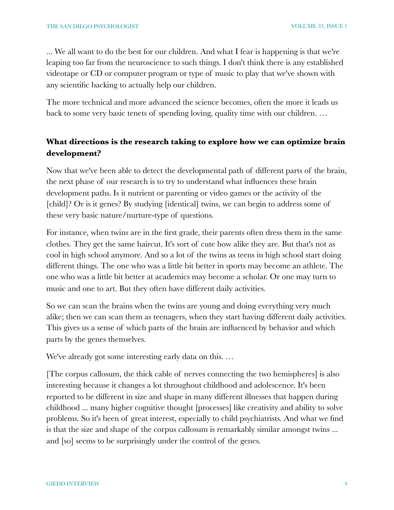... We all want to do the best for our children. And what I fear is happening is that we're leaping too far from the neuroscience to such things. I don't think there is any established videotape or CD or computer program or type of music to play that we've shown with any scientific backing to actually help our children.

The more technical and more advanced the science becomes, often the more it leads us back to some very basic tenets of spending loving, quality time with our children. …

## **What directions is the research taking to explore how we can optimize brain development?**

Now that we've been able to detect the developmental path of different parts of the brain, the next phase of our research is to try to understand what influences these brain development paths. Is it nutrient or parenting or video games or the activity of the [child]? Or is it genes? By studying [identical] twins, we can begin to address some of these very basic nature/nurture-type of questions.

For instance, when twins are in the first grade, their parents often dress them in the same clothes. They get the same haircut. It's sort of cute how alike they are. But that's not as cool in high school anymore. And so a lot of the twins as teens in high school start doing different things. The one who was a little bit better in sports may become an athlete. The one who was a little bit better at academics may become a scholar. Or one may turn to music and one to art. But they often have different daily activities.

So we can scan the brains when the twins are young and doing everything very much alike; then we can scan them as teenagers, when they start having different daily activities. This gives us a sense of which parts of the brain are influenced by behavior and which parts by the genes themselves.

We've already got some interesting early data on this. …

[The corpus callosum, the thick cable of nerves connecting the two hemispheres] is also interesting because it changes a lot throughout childhood and adolescence. It's been reported to be different in size and shape in many different illnesses that happen during childhood ... many higher cognitive thought [processes] like creativity and ability to solve problems. So it's been of great interest, especially to child psychiatrists. And what we find is that the size and shape of the corpus callosum is remarkably similar amongst twins ... and [so] seems to be surprisingly under the control of the genes.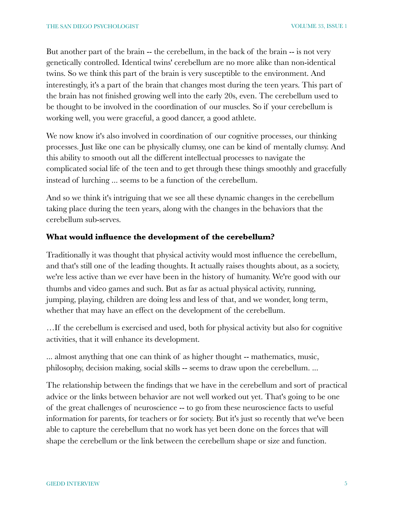But another part of the brain -- the cerebellum, in the back of the brain -- is not very genetically controlled. Identical twins' cerebellum are no more alike than non-identical twins. So we think this part of the brain is very susceptible to the environment. And interestingly, it's a part of the brain that changes most during the teen years. This part of the brain has not finished growing well into the early 20s, even. The cerebellum used to be thought to be involved in the coordination of our muscles. So if your cerebellum is working well, you were graceful, a good dancer, a good athlete.

We now know it's also involved in coordination of our cognitive processes, our thinking processes. Just like one can be physically clumsy, one can be kind of mentally clumsy. And this ability to smooth out all the different intellectual processes to navigate the complicated social life of the teen and to get through these things smoothly and gracefully instead of lurching ... seems to be a function of the cerebellum.

And so we think it's intriguing that we see all these dynamic changes in the cerebellum taking place during the teen years, along with the changes in the behaviors that the cerebellum sub-serves.

#### **What would influence the development of the cerebellum?**

Traditionally it was thought that physical activity would most influence the cerebellum, and that's still one of the leading thoughts. It actually raises thoughts about, as a society, we're less active than we ever have been in the history of humanity. We're good with our thumbs and video games and such. But as far as actual physical activity, running, jumping, playing, children are doing less and less of that, and we wonder, long term, whether that may have an effect on the development of the cerebellum.

…If the cerebellum is exercised and used, both for physical activity but also for cognitive activities, that it will enhance its development.

... almost anything that one can think of as higher thought -- mathematics, music, philosophy, decision making, social skills -- seems to draw upon the cerebellum. ...

The relationship between the findings that we have in the cerebellum and sort of practical advice or the links between behavior are not well worked out yet. That's going to be one of the great challenges of neuroscience -- to go from these neuroscience facts to useful information for parents, for teachers or for society. But it's just so recently that we've been able to capture the cerebellum that no work has yet been done on the forces that will shape the cerebellum or the link between the cerebellum shape or size and function.